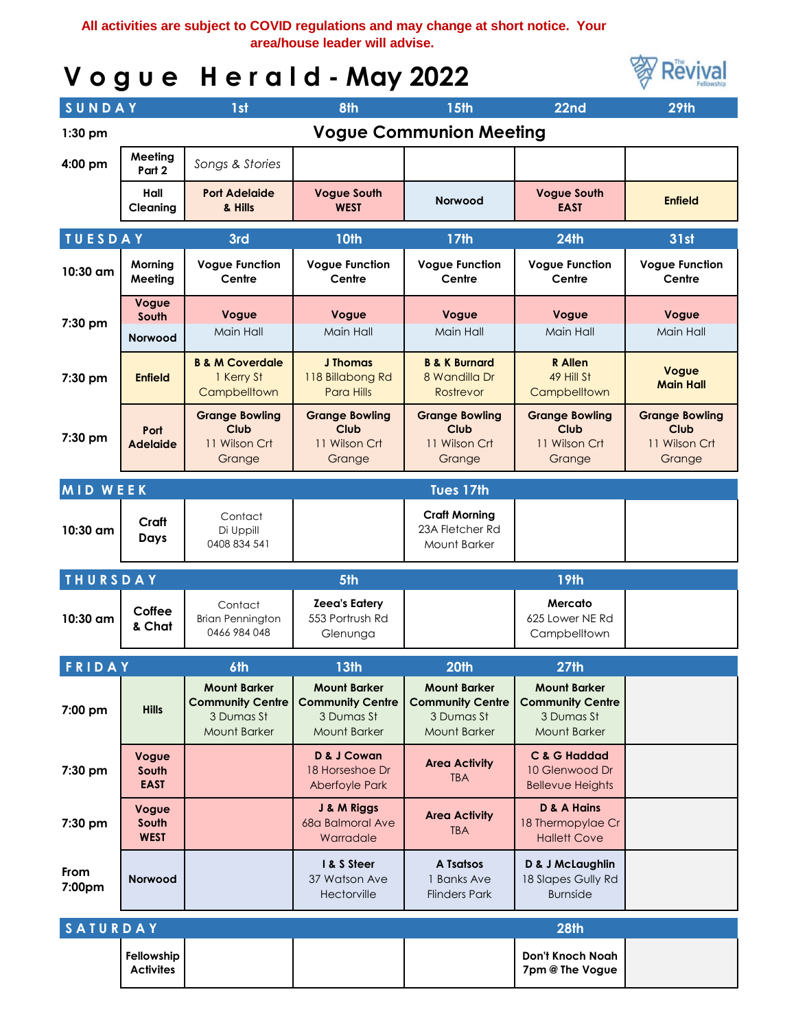#### **All activities are subject to COVID regulations and may change at short notice. Your area/house leader will advise.**

# **V o g u e H e r a l d - May 2022**



| SUNDAY           |                                       | 1st                                                                                 | 8th                                                                                 | <b>15th</b>                                                                         | 22nd                                                                                | <b>29th</b>                                              |
|------------------|---------------------------------------|-------------------------------------------------------------------------------------|-------------------------------------------------------------------------------------|-------------------------------------------------------------------------------------|-------------------------------------------------------------------------------------|----------------------------------------------------------|
| $1:30$ pm        |                                       |                                                                                     |                                                                                     | <b>Vogue Communion Meeting</b>                                                      |                                                                                     |                                                          |
| 4:00 pm          | Meeting<br>Part 2                     | Songs & Stories                                                                     |                                                                                     |                                                                                     |                                                                                     |                                                          |
|                  | Hall<br>Cleaning                      | <b>Port Adelaide</b><br>& Hills                                                     | <b>Vogue South</b><br><b>WEST</b>                                                   | <b>Norwood</b>                                                                      | <b>Vogue South</b><br><b>EAST</b>                                                   | <b>Enfield</b>                                           |
| <b>TUESDAY</b>   |                                       | 3rd                                                                                 | 10th                                                                                | <b>17th</b>                                                                         | <b>24th</b>                                                                         | <b>31st</b>                                              |
| 10:30 am         | Morning<br>Meeting                    | <b>Vogue Function</b><br>Centre                                                     | <b>Vogue Function</b><br>Centre                                                     | <b>Vogue Function</b><br>Centre                                                     | <b>Vogue Function</b><br>Centre                                                     | <b>Vogue Function</b><br>Centre                          |
| 7:30 pm          | Vogue<br>South<br>Norwood             | Vogue<br>Main Hall                                                                  | Vogue<br>Main Hall                                                                  | Vogue<br>Main Hall                                                                  | Vogue<br>Main Hall                                                                  | Vogue<br>Main Hall                                       |
| 7:30 pm          | <b>Enfield</b>                        | <b>B &amp; M Coverdale</b><br>1 Kerry St<br>Campbelltown                            | J Thomas<br>118 Billabong Rd<br>Para Hills                                          | <b>B &amp; K Burnard</b><br>8 Wandilla Dr<br>Rostrevor                              | <b>R</b> Allen<br>49 Hill St<br>Campbelltown                                        | Vogue<br><b>Main Hall</b>                                |
| 7:30 pm          | Port<br><b>Adelaide</b>               | <b>Grange Bowling</b><br>Club<br>11 Wilson Crt<br>Grange                            | <b>Grange Bowling</b><br>Club<br>11 Wilson Crt<br>Grange                            | <b>Grange Bowling</b><br>Club<br>11 Wilson Crt<br>Grange                            | <b>Grange Bowling</b><br>Club<br>11 Wilson Crt<br>Grange                            | <b>Grange Bowling</b><br>Club<br>11 Wilson Crt<br>Grange |
| <b>MID WEEK</b>  |                                       |                                                                                     |                                                                                     | Tues 17th                                                                           |                                                                                     |                                                          |
| 10:30 am         | Craft<br>Days                         | Contact<br>Di Uppill<br>0408 834 541                                                |                                                                                     | <b>Craft Morning</b><br>23A Fletcher Rd<br>Mount Barker                             |                                                                                     |                                                          |
|                  | <b>THURSDAY</b><br>5th<br><b>19th</b> |                                                                                     |                                                                                     |                                                                                     |                                                                                     |                                                          |
| 10:30 am         | Coffee<br>& Chat                      | Contact<br><b>Brian Pennington</b><br>0466 984 048                                  | <b>Zeea's Eatery</b><br>553 Portrush Rd<br>Glenunga                                 |                                                                                     | Mercato<br>625 Lower NE Rd<br>Campbelltown                                          |                                                          |
| FRIDAY           |                                       | 6th                                                                                 | 13th                                                                                | 20th                                                                                | <b>27th</b>                                                                         |                                                          |
| 7:00 pm          | <b>Hills</b>                          | <b>Mount Barker</b><br><b>Community Centre</b><br>3 Dumas St<br><b>Mount Barker</b> | <b>Mount Barker</b><br><b>Community Centre</b><br>3 Dumas St<br><b>Mount Barker</b> | <b>Mount Barker</b><br><b>Community Centre</b><br>3 Dumas St<br><b>Mount Barker</b> | <b>Mount Barker</b><br><b>Community Centre</b><br>3 Dumas St<br><b>Mount Barker</b> |                                                          |
| 7:30 pm          | Vogue<br>South<br><b>EAST</b>         |                                                                                     | D & J Cowan<br>18 Horseshoe Dr<br>Aberfoyle Park                                    | <b>Area Activity</b><br><b>TBA</b>                                                  | <b>C &amp; G Haddad</b><br>10 Glenwood Dr<br><b>Bellevue Heights</b>                |                                                          |
| 7:30 pm          | Vogue<br>South<br><b>WEST</b>         |                                                                                     | J & M Riggs<br>68a Balmoral Ave<br>Warradale                                        | <b>Area Activity</b><br><b>TBA</b>                                                  | D & A Hains<br>18 Thermopylae Cr<br><b>Hallett Cove</b>                             |                                                          |
| From<br>7:00pm   | Norwood                               |                                                                                     | I & S Steer<br>37 Watson Ave<br>Hectorville                                         | A Tsatsos<br>1 Banks Ave<br><b>Flinders Park</b>                                    | D & J McLaughlin<br>18 Slapes Gully Rd<br><b>Burnside</b>                           |                                                          |
| SATURDAY<br>28th |                                       |                                                                                     |                                                                                     |                                                                                     |                                                                                     |                                                          |
|                  | Fellowship<br><b>Activites</b>        |                                                                                     |                                                                                     |                                                                                     | Don't Knoch Noah<br>7pm @ The Vogue                                                 |                                                          |